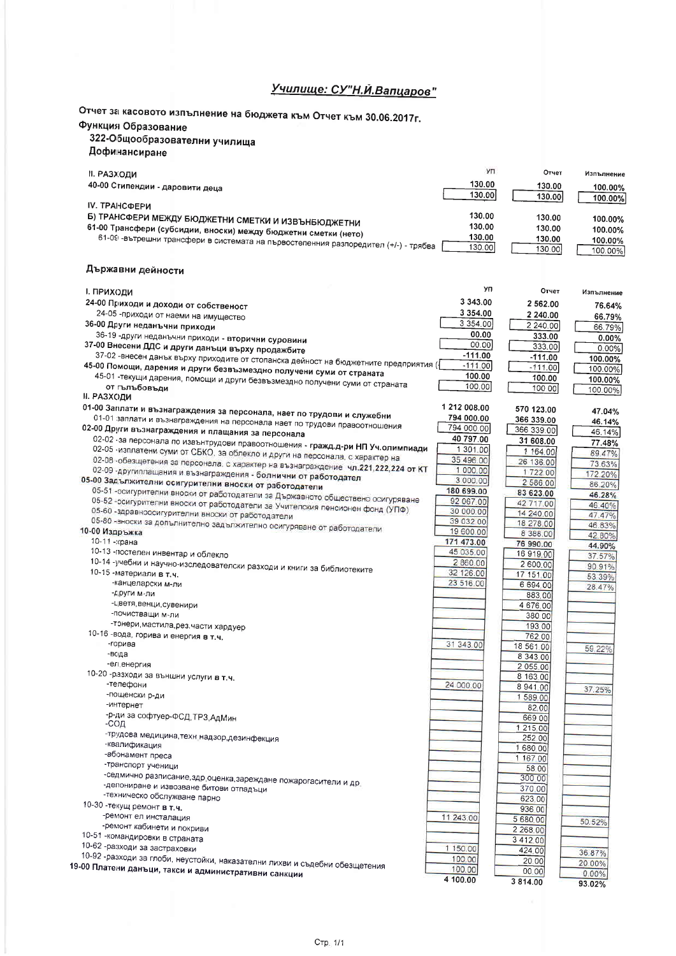## Училище: СУ"Н.Й.Вапцаров"

Отчет за касовото изпълнение на бюджета към Отчет към 30.06.2017г.

## Функция Образование

## э марк соразование<br>322-Общообразователни училища

| дофинансиране |  |
|---------------|--|
|---------------|--|

|                                                                                                                               | Изпълнение         |
|-------------------------------------------------------------------------------------------------------------------------------|--------------------|
| 130.00<br>40-00 Стипендии - даровити деца<br>130.00                                                                           | 100.00%            |
| 130.00<br>130.00<br><b>IV. ТРАНСФЕРИ</b>                                                                                      | 100.00%            |
| 130.00<br>Б) ТРАНСФЕРИ МЕЖДУ БЮДЖЕТНИ СМЕТКИ И ИЗВЪНБЮДЖЕТНИ<br>130.00                                                        | 100.00%            |
| 130.00<br>61-00 Трансфери (субсидии, вноски) между бюджетни сметки (нето)<br>130.00                                           | 100.00%            |
| 130.00<br>61-09 -вътрешни трансфери в системата на първостепенния разпоредител (+/-) - трябва ′<br>130.00<br>130.00<br>130.00 | 100.00%<br>100.00% |

## Държавни дейности

| І. ПРИХОДИ                                                                                        | УП                      | Отчет            | Изпълнение |
|---------------------------------------------------------------------------------------------------|-------------------------|------------------|------------|
| 24-00 Приходи и доходи от собственост                                                             | 3 343.00                | 2 562.00         | 76.64%     |
| 24-05 - приходи от наеми на имущество                                                             | 3 3 5 4 . 0 0           | 2 240.00         | 66.79%     |
| 36-00 Други неданъчни приходи                                                                     | 3 3 5 4 0 0             | 2 240.00         | 66.79%     |
| 36-19 -други неданъчни приходи - вторични суровини                                                | 00.00                   | 333.00           | 0.00%      |
| 37-00 Внесени ДДС и други данъци върху продажбите                                                 | 00.00                   | 333.00           | 0.00%      |
| 37-02 -внесен данък върху приходите от стопанска дейност на бюджетните предприятия ({             | $-111.00$               | $-111.00$        | 100.00%    |
| 45-00 Помощи, дарения и други безвъзмездно получени суми от страната                              | $-111.00$               | $-111.00$        | 100.00%    |
| 45-01 -текущи дарения, помощи и други безвъзмездно получени суми от страната                      | 100.00                  | 100.00           | 100.00%    |
| от гълъбовъди                                                                                     | 100.00                  | 100.00           | 100.00%    |
| <b>II. РАЗХОДИ</b>                                                                                |                         |                  |            |
| 01-00 Заплати и възнаграждения за персонала, нает по трудови и служебни                           | 1 212 008.00            | 570 123.00       | 47.04%     |
| 01-01 заплати и възнаграждения на персонала нает по трудови правоотношения                        | 794 000.00              | 366 339.00       | 46.14%     |
| 02-00 Други възнаграждения и плащания за персонала                                                | 794 000.00              | 366 339 00       | 46.14%     |
| 02-02 -за персонала по извънтрудови правоотношения - гражд.д-ри НП Уч.олимпиади                   | 40 797.00               | 31 608.00        | 77.48%     |
| 02-05 -изплатени суми от СБКО, за облекло и други на персонала, с характер на                     | 1 301 00                | 1 164,00         | 89.47%     |
| 02-08 - обезщетения за персонала, с характер на възнаграждение чл.221,222,224 от КТ               | 35 496 00               | 26 136.00        | 73.63%     |
| 02-09 -другиплащания и възнаграждения - болнични от работодател                                   | 1 000.00                | 1722.00          | 172.20%    |
| 05-00 Задължителни осигурителни вноски от работодатели                                            | 3 000.00                | 2 586.00         | 86.20%     |
| 05-51 -осигурителни вноски от работодатели за Държавното обществено осигуряване                   | 180 699.00              | 83 623.00        | 46.28%     |
| 05-52 - осигурителни вноски от работодатели за Учителския пенсионен фонд (УПФ)                    | 92 067.00               | 42.717.00        | 46.40%     |
| 05-60 - здравноосигурителни вноски от работодатели                                                | 30 000.00               | 14 240.00        | 47.47%     |
| 05-80 -вноски за допълнително задължително осигуряване от работодатели                            | 39 032 00               | 18 278.00        | 46.83%     |
| 10-00 Издръжка<br>10-11-храна                                                                     | 19 600.00<br>171 473.00 | 8 388.00         | 42.80%     |
|                                                                                                   | 45 035.00               | 76 990.00        | 44.90%     |
| 10-13 -постелен инвентар и облекло                                                                | 2 860.00                | 16 919 00        | 37.57%     |
| 10-14 -учебни и научно-изследователски разходи и книги за библиотеките<br>10-15 -материали в т.ч. | 32 126.00               | 2 600.00         | 90.91%     |
| -канцеларски м-ли                                                                                 | 23 516.00               | 17 151 00        | 53.39%     |
| -други м-ли                                                                                       |                         | 6 694 00         | 28.47%     |
| -цветя, венци, сувенири                                                                           |                         | 883.00           |            |
| -почистващи м-ли                                                                                  |                         | 4 676 00         |            |
| -тонери, мастила, рез. части хардуер                                                              |                         | 380.00           |            |
| 10-16 -вода, горива и енергия в т.ч.                                                              |                         | 193.00<br>762.00 |            |
| -горива                                                                                           | 31 343.00               | 18 561 00        |            |
| -вода                                                                                             |                         | 8 343 00         | 59.22%     |
| -ел енергия                                                                                       |                         | 2 055 00         |            |
| 10-20 -разходи за външни услуги в т.ч.                                                            |                         | 8 163 00         |            |
| -телефони                                                                                         | 24 000.00               | 8 941 00         |            |
| -пощенски р-ди                                                                                    |                         | 1 589 00         | 37.25%     |
| -интернет                                                                                         |                         | 82.00            |            |
| -р-ди за софтуер-ФСД, ТРЗ, АдМин                                                                  |                         | 669.00           |            |
| -сод                                                                                              |                         | 1 215.00         |            |
| -трудова медицина, техн надзор, дезинфекция                                                       |                         | 252 00           |            |
| -квалификация                                                                                     |                         | 1 680.00         |            |
| -абонамент преса                                                                                  |                         | 1 167 00         |            |
| -транспорт ученици                                                                                |                         | 58.00            |            |
| -седмично разписание, здр. оценка, зареждане пожарогасители и др.                                 |                         | 300 00           |            |
| -депониране и извозване битови отпадъци                                                           |                         | 370.00           |            |
| -техническо обслужване парно                                                                      |                         | 623.00           |            |
| 10-30 - текущ ремонт в т.ч.                                                                       |                         | 936 00           |            |
| -ремонт ел инсталация                                                                             | 11 243.00               | 5 680 00         | 50.52%     |
| -ремонт кабинети и покриви                                                                        |                         | 2 268 00         |            |
| 10-51 - командировки в страната                                                                   |                         | 3 4 1 2 0 0      |            |
| 10-62 -разходи за застраховки                                                                     | 1 150.00                | 424.00           | 36.87%     |
| 10-92 -разходи за глоби, неустойки, наказателни лихви и съдебни обезщетения                       | 100.00                  | 20 00            | 20.00%     |
| 19-00 Платени данъци, такси и административни санкции                                             | 100.00                  | 00,00            | $0.00\%$   |
|                                                                                                   | 4 100.00                | 3814.00          | 93.02%     |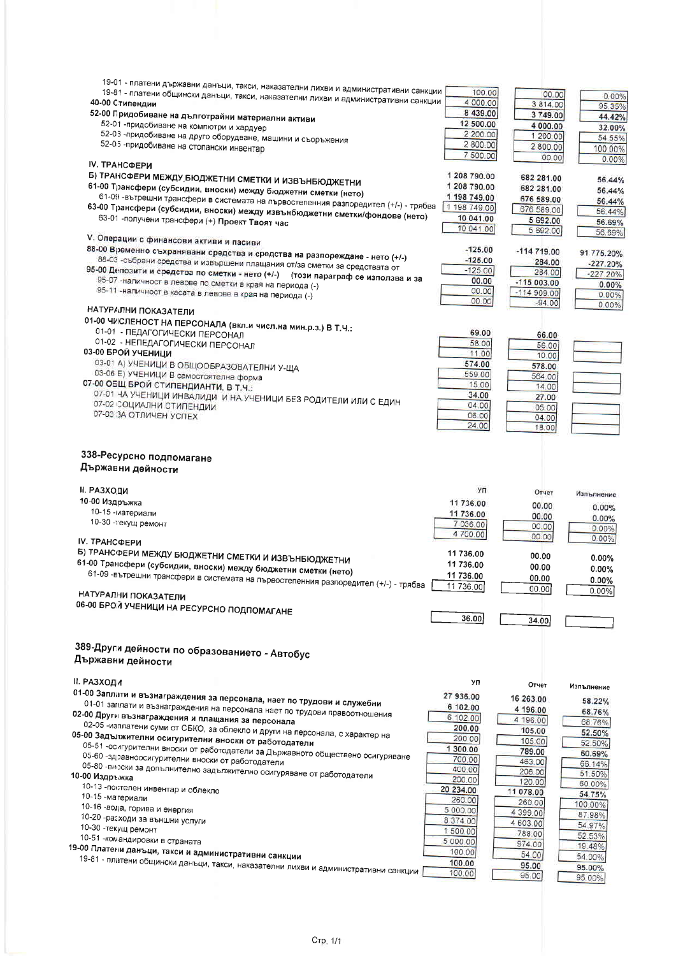| 19-01 - платени държавни данъци, такси, наказателни лихви и административни санкции<br>19-81 - платени общински данъци, такси, наказателни лихви и административни санкции<br>40-00 Стипендии<br>52-00 Придобиване на дълготрайни материални активи<br>52-01 -придобиване на компютри и хардуер<br>52-03 -придобиване на друго оборудване, машини и съоръжения<br>52-05 -придобиване на стопански инвентар<br>IV. ТРАНСФЕРИ                                                                                                                                                                                                                                                                                                                                                  | 100.00<br>4 000.00<br>8 439.00<br>12 500.00<br>2 200.00<br>2 800.00<br>7 500.00                                                                                               | 00.00<br>3814.00<br>3749.00<br>4 000.00<br>1 200.00<br>2 800.00<br>00.00                                                                                              | $0.00\%$<br>95.35%<br>44.42%<br>32.00%<br>54.55%<br>100.00%<br>0.00%                                                                                |
|------------------------------------------------------------------------------------------------------------------------------------------------------------------------------------------------------------------------------------------------------------------------------------------------------------------------------------------------------------------------------------------------------------------------------------------------------------------------------------------------------------------------------------------------------------------------------------------------------------------------------------------------------------------------------------------------------------------------------------------------------------------------------|-------------------------------------------------------------------------------------------------------------------------------------------------------------------------------|-----------------------------------------------------------------------------------------------------------------------------------------------------------------------|-----------------------------------------------------------------------------------------------------------------------------------------------------|
| Б) ТРАНСФЕРИ МЕЖДУ БЮДЖЕТНИ СМЕТКИ И ИЗВЪНБЮДЖЕТНИ                                                                                                                                                                                                                                                                                                                                                                                                                                                                                                                                                                                                                                                                                                                           | 1 208 790.00                                                                                                                                                                  | 682 281.00                                                                                                                                                            | 56.44%                                                                                                                                              |
| 61-00 Трансфери (субсидии, вноски) между бюджетни сметки (нето)                                                                                                                                                                                                                                                                                                                                                                                                                                                                                                                                                                                                                                                                                                              | 1 208 790.00                                                                                                                                                                  | 682 281.00                                                                                                                                                            | 56.44%                                                                                                                                              |
| 61-09 -вътрешни трансфери в системата на първостепенния разпоредител (+/-) - трябва                                                                                                                                                                                                                                                                                                                                                                                                                                                                                                                                                                                                                                                                                          | 1 198 749.00                                                                                                                                                                  | 676 589.00                                                                                                                                                            | 56.44%                                                                                                                                              |
| 63-00 Трансфери (субсидии, вноски) между извънбюджетни сметки/фондове (нето)                                                                                                                                                                                                                                                                                                                                                                                                                                                                                                                                                                                                                                                                                                 | 1 198 749.00                                                                                                                                                                  | 676 589.00                                                                                                                                                            | 56.44%                                                                                                                                              |
| 63-01 -получени трансфери (+) Проект Твоят час                                                                                                                                                                                                                                                                                                                                                                                                                                                                                                                                                                                                                                                                                                                               | 10 041.00                                                                                                                                                                     | 5 692.00                                                                                                                                                              | 56.69%                                                                                                                                              |
| V. Операции с финансови активи и пасиви                                                                                                                                                                                                                                                                                                                                                                                                                                                                                                                                                                                                                                                                                                                                      | 10 041.00                                                                                                                                                                     | 5 692.00                                                                                                                                                              | 56.69%                                                                                                                                              |
| 88-00 Временно съхранявани средства и средства на разпореждане - нето (+/-)                                                                                                                                                                                                                                                                                                                                                                                                                                                                                                                                                                                                                                                                                                  | $-125.00$                                                                                                                                                                     | $-114719.00$                                                                                                                                                          | 91 775.20%                                                                                                                                          |
| 88-03 -събрани средства и извършени плащания от/за сметки за средствата от                                                                                                                                                                                                                                                                                                                                                                                                                                                                                                                                                                                                                                                                                                   | $-125.00$                                                                                                                                                                     | 284.00                                                                                                                                                                | $-227.20%$                                                                                                                                          |
| 95-00 Депозити и средства по сметки - нето (+/-) (този параграф се използва и за                                                                                                                                                                                                                                                                                                                                                                                                                                                                                                                                                                                                                                                                                             | $-125.00$                                                                                                                                                                     | 284.00                                                                                                                                                                | $-227.20%$                                                                                                                                          |
| 95-07 - наличност в левове по сметки в края на периода (-)                                                                                                                                                                                                                                                                                                                                                                                                                                                                                                                                                                                                                                                                                                                   | 00.00                                                                                                                                                                         | $-115003.00$                                                                                                                                                          | 0.00%                                                                                                                                               |
| 95-11 -наличност в касата в левове в края на периода (-)                                                                                                                                                                                                                                                                                                                                                                                                                                                                                                                                                                                                                                                                                                                     | 00.00                                                                                                                                                                         | $-114909.00$                                                                                                                                                          | 0.00%                                                                                                                                               |
| НАТУРАЛНИ ПОКАЗАТЕЛИ                                                                                                                                                                                                                                                                                                                                                                                                                                                                                                                                                                                                                                                                                                                                                         | 00.00                                                                                                                                                                         | $-94.00$                                                                                                                                                              | 0.00%                                                                                                                                               |
| 01-00 ЧИСЛЕНОСТ НА ПЕРСОНАЛА (вкл.и числ.на мин.р.з.) В Т.Ч.:                                                                                                                                                                                                                                                                                                                                                                                                                                                                                                                                                                                                                                                                                                                | 69.00                                                                                                                                                                         | 66.00                                                                                                                                                                 |                                                                                                                                                     |
| 01-01 - ПЕДАГОГИЧЕСКИ ПЕРСОНАЛ                                                                                                                                                                                                                                                                                                                                                                                                                                                                                                                                                                                                                                                                                                                                               | 58.00                                                                                                                                                                         | 56.00                                                                                                                                                                 |                                                                                                                                                     |
| 01-02 - НЕПЕДАГОГИЧЕСКИ ПЕРСОНАЛ                                                                                                                                                                                                                                                                                                                                                                                                                                                                                                                                                                                                                                                                                                                                             | 11.00                                                                                                                                                                         | 10.00                                                                                                                                                                 |                                                                                                                                                     |
| 03-00 БРОЙ УЧЕНИЦИ                                                                                                                                                                                                                                                                                                                                                                                                                                                                                                                                                                                                                                                                                                                                                           | 574.00                                                                                                                                                                        | 578.00                                                                                                                                                                |                                                                                                                                                     |
| 03-01 А) УЧЕНИЦИ В ОБЩООБРАЗОВАТЕЛНИ У-ЩА                                                                                                                                                                                                                                                                                                                                                                                                                                                                                                                                                                                                                                                                                                                                    | 559.00                                                                                                                                                                        | 564.00                                                                                                                                                                |                                                                                                                                                     |
| 03-06 Е) УЧЕНИЦИ В самостоятелна форма                                                                                                                                                                                                                                                                                                                                                                                                                                                                                                                                                                                                                                                                                                                                       | 15.00                                                                                                                                                                         | 14.00                                                                                                                                                                 |                                                                                                                                                     |
| 07-00 ОБЩ БРОЙ СТИПЕНДИАНТИ, В Т.Ч.:                                                                                                                                                                                                                                                                                                                                                                                                                                                                                                                                                                                                                                                                                                                                         | 34.00                                                                                                                                                                         | 27.00                                                                                                                                                                 |                                                                                                                                                     |
| 07-01 НА УЧЕНИЦИ ИНВАЛИДИ И НА УЧЕНИЦИ БЕЗ РОДИТЕЛИ ИЛИ С ЕДИН                                                                                                                                                                                                                                                                                                                                                                                                                                                                                                                                                                                                                                                                                                               | 04.00                                                                                                                                                                         | 05.00                                                                                                                                                                 |                                                                                                                                                     |
| 07-02 СОЦИАЛНИ СТИПЕНДИИ                                                                                                                                                                                                                                                                                                                                                                                                                                                                                                                                                                                                                                                                                                                                                     | 06.00                                                                                                                                                                         | 04.00                                                                                                                                                                 |                                                                                                                                                     |
| 07-03 ЗА ОТЛИЧЕН УСПЕХ                                                                                                                                                                                                                                                                                                                                                                                                                                                                                                                                                                                                                                                                                                                                                       | 24.00                                                                                                                                                                         | 18.00                                                                                                                                                                 |                                                                                                                                                     |
| 338-Ресурсно подпомагане<br>Държавни дейности                                                                                                                                                                                                                                                                                                                                                                                                                                                                                                                                                                                                                                                                                                                                |                                                                                                                                                                               |                                                                                                                                                                       |                                                                                                                                                     |
| <b>II. РАЗХОДИ</b>                                                                                                                                                                                                                                                                                                                                                                                                                                                                                                                                                                                                                                                                                                                                                           | УΠ                                                                                                                                                                            | Отчет                                                                                                                                                                 | Изпълнение                                                                                                                                          |
| 10-00 Издръжка                                                                                                                                                                                                                                                                                                                                                                                                                                                                                                                                                                                                                                                                                                                                                               | 11 736.00                                                                                                                                                                     | 00.00                                                                                                                                                                 | 0.00%                                                                                                                                               |
| 10-15 -материали                                                                                                                                                                                                                                                                                                                                                                                                                                                                                                                                                                                                                                                                                                                                                             | 11 736.00                                                                                                                                                                     | 00.00                                                                                                                                                                 | 0.00%                                                                                                                                               |
| 10-30 -текущ ремонт                                                                                                                                                                                                                                                                                                                                                                                                                                                                                                                                                                                                                                                                                                                                                          | 7 036.00                                                                                                                                                                      | 00.00                                                                                                                                                                 | $0.00\%$                                                                                                                                            |
| IV. ТРАНСФЕРИ                                                                                                                                                                                                                                                                                                                                                                                                                                                                                                                                                                                                                                                                                                                                                                | 4 700.00                                                                                                                                                                      | 00.00                                                                                                                                                                 | 0.00%                                                                                                                                               |
| Б) ТРАНСФЕРИ МЕЖДУ БЮДЖЕТНИ СМЕТКИ И ИЗВЪНБЮДЖЕТНИ                                                                                                                                                                                                                                                                                                                                                                                                                                                                                                                                                                                                                                                                                                                           | 11 736,00                                                                                                                                                                     | 00.00                                                                                                                                                                 | 0.00%                                                                                                                                               |
| 61-00 Трансфери (субсидии, вноски) между бюджетни сметки (нето)                                                                                                                                                                                                                                                                                                                                                                                                                                                                                                                                                                                                                                                                                                              | 11 736.00                                                                                                                                                                     | 00.00                                                                                                                                                                 | 0.00%                                                                                                                                               |
| 61-09 -вътрешни трансфери в системата на първостепенния разпоредител (+/-) - трябва                                                                                                                                                                                                                                                                                                                                                                                                                                                                                                                                                                                                                                                                                          | 11 736.00                                                                                                                                                                     | 00.00                                                                                                                                                                 | 0.00%                                                                                                                                               |
| НАТУРАЛНИ ПОКАЗАТЕЛИ                                                                                                                                                                                                                                                                                                                                                                                                                                                                                                                                                                                                                                                                                                                                                         | 11 736.00                                                                                                                                                                     | 00.00                                                                                                                                                                 | 0.00%                                                                                                                                               |
| 06-00 БРОЙ УЧЕНИЦИ НА РЕСУРСНО ПОДПОМАГАНЕ                                                                                                                                                                                                                                                                                                                                                                                                                                                                                                                                                                                                                                                                                                                                   | 36.00                                                                                                                                                                         | 34.00                                                                                                                                                                 |                                                                                                                                                     |
| 389-Други дейности по образованието - Автобус<br>Държавни дейности                                                                                                                                                                                                                                                                                                                                                                                                                                                                                                                                                                                                                                                                                                           |                                                                                                                                                                               |                                                                                                                                                                       |                                                                                                                                                     |
| <b>II. РАЗХОДИ</b><br>01-00 Заплати и възнаграждения за персонала, нает по трудови и служебни<br>01-01 заплати и възнаграждения на персонала нает по трудови правоотношения                                                                                                                                                                                                                                                                                                                                                                                                                                                                                                                                                                                                  | УП<br>27 936.00                                                                                                                                                               | Отчет<br>16 263.00                                                                                                                                                    | Изпълнение<br>58.22%                                                                                                                                |
| 02-00 Други възнаграждения и плащания за персонала<br>02-05 -изплатени суми от СБКО, за облекло и други на персонала, с характер на<br>05-00 Задължителни осигурителни вноски от работодатели<br>05-51 -ос игурителни вноски от работодатели за Държавното обществено осигуряване<br>05-60 -здравноосигурителни вноски от работодатели<br>05-80 -вноски за допълнително задължително осигуряване от работодатели<br>10-00 Издръжка<br>10-13 - постелен инвентар и облекло<br>10-15 -материали<br>10-16 -вода, горива и енергия<br>10-20 -разходи за външни услуги<br>10-30 - текущ ремонт<br>10-51 - командировки в страната<br>19-00 Платени данъци, такси и административни санкции<br>19-81 - платени общински данъци, такси, наказателни лихви и административни санкции | 6 102.00<br>6 102 00<br>200.00<br>200.00<br>1 300.00<br>700.00<br>400.00<br>200.00<br>20 234.00<br>260.00<br>5 000.00<br>8 374.00<br>1 500.00<br>5 000.00<br>100.00<br>100.00 | 4 196.00<br>4 196.00<br>105.00<br>105.00<br>789.00<br>463.00<br>206.00<br>120.00<br>11 078.00<br>260.00<br>4 399.00<br>4 603.00<br>788.00<br>974.00<br>54.00<br>95.00 | 68.76%<br>68.76%<br>52.50%<br>52.50%<br>60.69%<br>66.14%<br>51.50%<br>60.00%<br>54.75%<br>100.00%<br>87.98%<br>54.97%<br>52.53%<br>19.48%<br>54.00% |